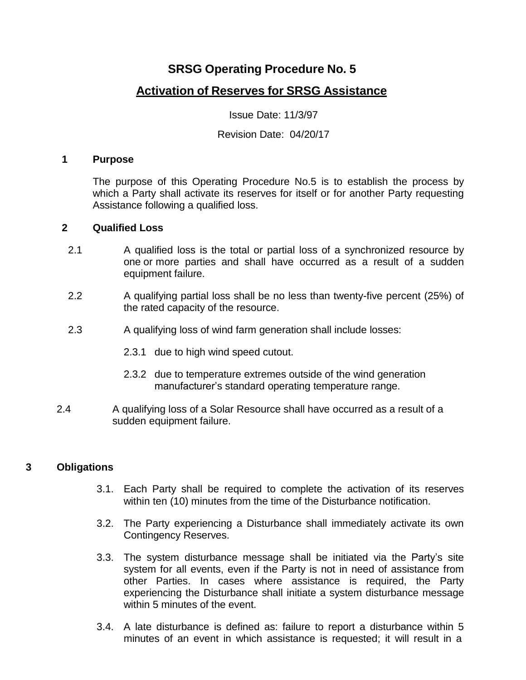# **SRSG Operating Procedure No. 5**

## **Activation of Reserves for SRSG Assistance**

Issue Date: 11/3/97

#### Revision Date: 04/20/17

#### **1 Purpose**

The purpose of this Operating Procedure No.5 is to establish the process by which a Party shall activate its reserves for itself or for another Party requesting Assistance following a qualified loss.

#### **2 Qualified Loss**

- 2.1 A qualified loss is the total or partial loss of a synchronized resource by one or more parties and shall have occurred as a result of a sudden equipment failure.
- 2.2 A qualifying partial loss shall be no less than twenty-five percent (25%) of the rated capacity of the resource.
- 2.3 A qualifying loss of wind farm generation shall include losses:
	- 2.3.1 due to high wind speed cutout.
	- 2.3.2 due to temperature extremes outside of the wind generation manufacturer's standard operating temperature range.
- 2.4 A qualifying loss of a Solar Resource shall have occurred as a result of a sudden equipment failure.

## **3 Obligations**

- 3.1. Each Party shall be required to complete the activation of its reserves within ten (10) minutes from the time of the Disturbance notification.
- 3.2. The Party experiencing a Disturbance shall immediately activate its own Contingency Reserves.
- 3.3. The system disturbance message shall be initiated via the Party's site system for all events, even if the Party is not in need of assistance from other Parties. In cases where assistance is required, the Party experiencing the Disturbance shall initiate a system disturbance message within 5 minutes of the event.
- 3.4. A late disturbance is defined as: failure to report a disturbance within 5 minutes of an event in which assistance is requested; it will result in a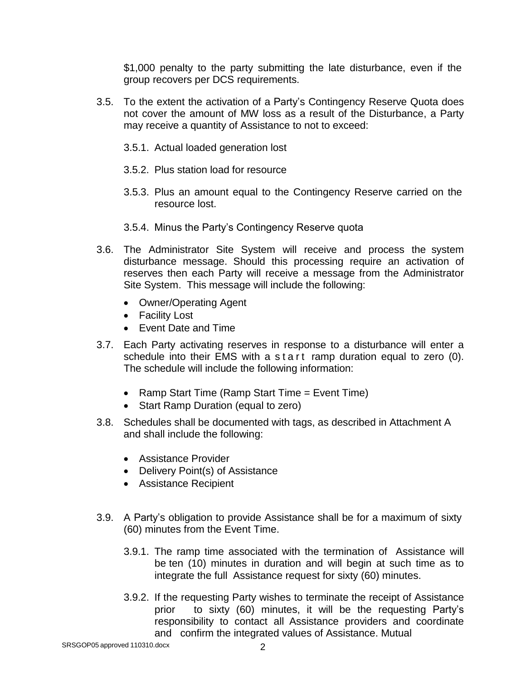\$1,000 penalty to the party submitting the late disturbance, even if the group recovers per DCS requirements.

- 3.5. To the extent the activation of a Party's Contingency Reserve Quota does not cover the amount of MW loss as a result of the Disturbance, a Party may receive a quantity of Assistance to not to exceed:
	- 3.5.1. Actual loaded generation lost
	- 3.5.2. Plus station load for resource
	- 3.5.3. Plus an amount equal to the Contingency Reserve carried on the resource lost.
	- 3.5.4. Minus the Party's Contingency Reserve quota
- 3.6. The Administrator Site System will receive and process the system disturbance message. Should this processing require an activation of reserves then each Party will receive a message from the Administrator Site System. This message will include the following:
	- Owner/Operating Agent
	- Facility Lost
	- Event Date and Time
- 3.7. Each Party activating reserves in response to a disturbance will enter a schedule into their EMS with a start ramp duration equal to zero (0). The schedule will include the following information:
	- Ramp Start Time (Ramp Start Time = Event Time)
	- Start Ramp Duration (equal to zero)
- 3.8. Schedules shall be documented with tags, as described in Attachment A and shall include the following:
	- Assistance Provider
	- Delivery Point(s) of Assistance
	- Assistance Recipient
- 3.9. A Party's obligation to provide Assistance shall be for a maximum of sixty (60) minutes from the Event Time.
	- 3.9.1. The ramp time associated with the termination of Assistance will be ten (10) minutes in duration and will begin at such time as to integrate the full Assistance request for sixty (60) minutes.
	- 3.9.2. If the requesting Party wishes to terminate the receipt of Assistance prior to sixty (60) minutes, it will be the requesting Party's responsibility to contact all Assistance providers and coordinate and confirm the integrated values of Assistance. Mutual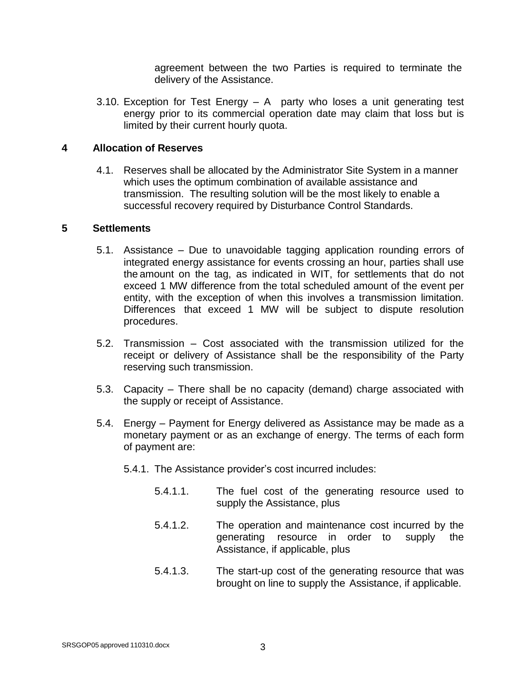agreement between the two Parties is required to terminate the delivery of the Assistance.

3.10. Exception for Test Energy – A party who loses a unit generating test energy prior to its commercial operation date may claim that loss but is limited by their current hourly quota.

## **4 Allocation of Reserves**

4.1. Reserves shall be allocated by the Administrator Site System in a manner which uses the optimum combination of available assistance and transmission. The resulting solution will be the most likely to enable a successful recovery required by Disturbance Control Standards.

#### **5 Settlements**

- 5.1. Assistance Due to unavoidable tagging application rounding errors of integrated energy assistance for events crossing an hour, parties shall use the amount on the tag, as indicated in WIT, for settlements that do not exceed 1 MW difference from the total scheduled amount of the event per entity, with the exception of when this involves a transmission limitation. Differences that exceed 1 MW will be subject to dispute resolution procedures.
- 5.2. Transmission Cost associated with the transmission utilized for the receipt or delivery of Assistance shall be the responsibility of the Party reserving such transmission.
- 5.3. Capacity There shall be no capacity (demand) charge associated with the supply or receipt of Assistance.
- 5.4. Energy Payment for Energy delivered as Assistance may be made as a monetary payment or as an exchange of energy. The terms of each form of payment are:
	- 5.4.1. The Assistance provider's cost incurred includes:
		- 5.4.1.1. The fuel cost of the generating resource used to supply the Assistance, plus
		- 5.4.1.2. The operation and maintenance cost incurred by the generating resource in order to supply the Assistance, if applicable, plus
		- 5.4.1.3. The start-up cost of the generating resource that was brought on line to supply the Assistance, if applicable.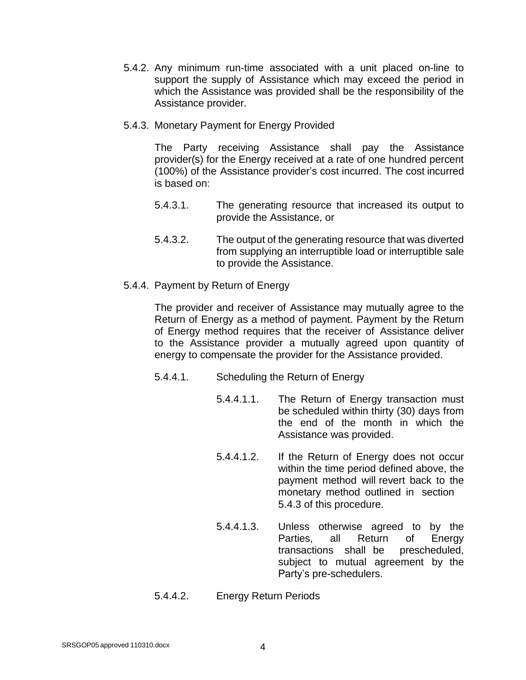- 5.4.2. Any minimum run-time associated with a unit placed on-line to support the supply of Assistance which may exceed the period in which the Assistance was provided shall be the responsibility of the Assistance provider.
- 5.4.3. Monetary Payment for Energy Provided

The Party receiving Assistance shall pay the Assistance provider(s) for the Energy received at a rate of one hundred percent (100%) of the Assistance provider's cost incurred. The cost incurred is based on:

- 5.4.3.1. The generating resource that increased its output to provide the Assistance, or
- 5.4.3.2. The output of the generating resource that was diverted from supplying an interruptible load or interruptible sale to provide the Assistance.
- 5.4.4. Payment by Return of Energy

The provider and receiver of Assistance may mutually agree to the Return of Energy as a method of payment. Payment by the Return of Energy method requires that the receiver of Assistance deliver to the Assistance provider a mutually agreed upon quantity of energy to compensate the provider for the Assistance provided.

- 5.4.4.1. Scheduling the Return of Energy
	- 5.4.4.1.1. The Return of Energy transaction must be scheduled within thirty (30) days from the end of the month in which the Assistance was provided.
	- 5.4.4.1.2. If the Return of Energy does not occur within the time period defined above, the payment method will revert back to the monetary method outlined in section 5.4.3 of this procedure.
	- 5.4.4.1.3. Unless otherwise agreed to by the Parties, all Return of Energy transactions shall be prescheduled, subject to mutual agreement by the Party's pre-schedulers.
- 5.4.4.2. Energy Return Periods